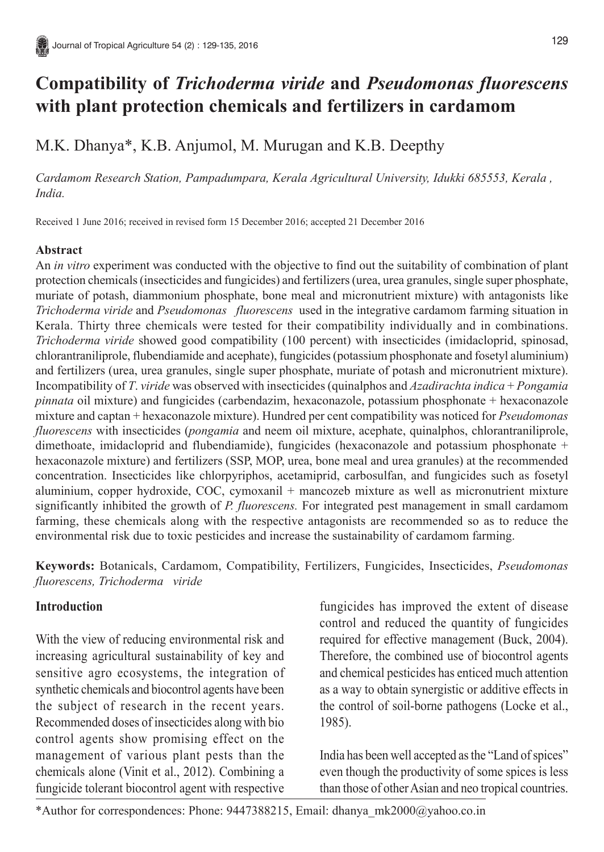# **Compatibility of** *Trichoderma viride* **and** *Pseudomonas fluorescens* **with plant protection chemicals and fertilizers in cardamom**

# M.K. Dhanya\*, K.B. Anjumol, M. Murugan and K.B. Deepthy

*Cardamom Research Station, Pampadumpara, Kerala Agricultural University, Idukki 685553, Kerala , India.*

Received 1 June 2016; received in revised form 15 December 2016; accepted 21 December 2016

#### **Abstract**

An *in vitro* experiment was conducted with the objective to find out the suitability of combination of plant protection chemicals (insecticides and fungicides) and fertilizers (urea, urea granules, single super phosphate, muriate of potash, diammonium phosphate, bone meal and micronutrient mixture) with antagonists like *Trichoderma viride* and *Pseudomonas fluorescens* used in the integrative cardamom farming situation in Kerala. Thirty three chemicals were tested for their compatibility individually and in combinations. *Trichoderma viride* showed good compatibility (100 percent) with insecticides (imidacloprid, spinosad, chlorantraniliprole, flubendiamide and acephate), fungicides (potassium phosphonate and fosetyl aluminium) and fertilizers (urea, urea granules, single super phosphate, muriate of potash and micronutrient mixture). Incompatibility of *T*. *viride* was observed with insecticides (quinalphos and *Azadirachta indica* + *Pongamia pinnata* oil mixture) and fungicides (carbendazim, hexaconazole, potassium phosphonate + hexaconazole mixture and captan + hexaconazole mixture). Hundred per cent compatibility was noticed for *Pseudomonas fluorescens* with insecticides (*pongamia* and neem oil mixture, acephate, quinalphos, chlorantraniliprole, dimethoate, imidacloprid and flubendiamide), fungicides (hexaconazole and potassium phosphonate + hexaconazole mixture) and fertilizers (SSP, MOP, urea, bone meal and urea granules) at the recommended concentration. Insecticides like chlorpyriphos, acetamiprid, carbosulfan, and fungicides such as fosetyl aluminium, copper hydroxide, COC, cymoxanil + mancozeb mixture as well as micronutrient mixture significantly inhibited the growth of *P. fluorescens.* For integrated pest management in small cardamom farming, these chemicals along with the respective antagonists are recommended so as to reduce the environmental risk due to toxic pesticides and increase the sustainability of cardamom farming.

**Keywords:** Botanicals, Cardamom, Compatibility, Fertilizers, Fungicides, Insecticides, *Pseudomonas fluorescens, Trichoderma viride*

### **Introduction**

With the view of reducing environmental risk and increasing agricultural sustainability of key and sensitive agro ecosystems, the integration of synthetic chemicals and biocontrol agents have been the subject of research in the recent years. Recommended doses of insecticides along with bio control agents show promising effect on the management of various plant pests than the chemicals alone (Vinit et al., 2012). Combining a fungicide tolerant biocontrol agent with respective

fungicides has improved the extent of disease control and reduced the quantity of fungicides required for effective management (Buck, 2004). Therefore, the combined use of biocontrol agents and chemical pesticides has enticed much attention as a way to obtain synergistic or additive effects in the control of soil-borne pathogens (Locke et al., 1985).

India has been well accepted as the "Land of spices" even though the productivity of some spices is less than those of other Asian and neo tropical countries.

\*Author for correspondences: Phone: 9447388215, Email: dhanya\_mk2000@yahoo.co.in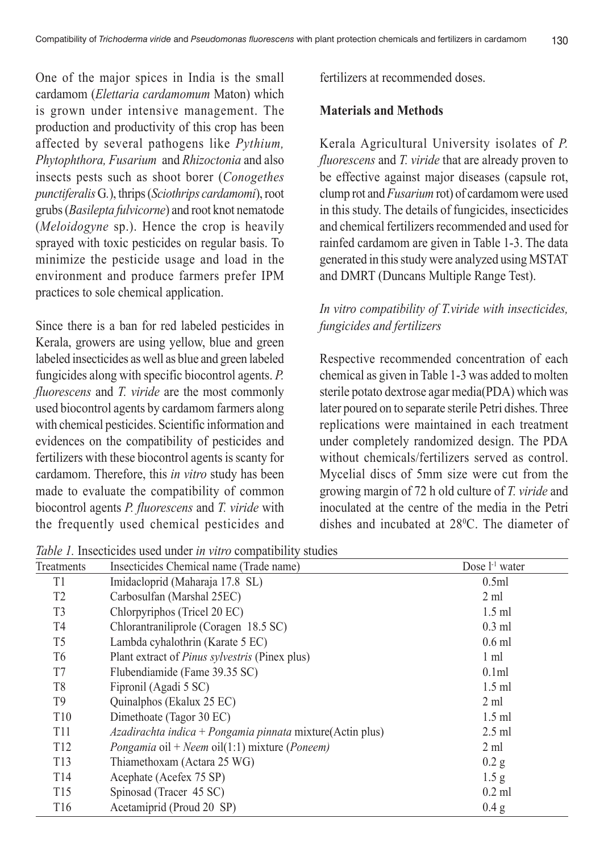One of the major spices in India is the small cardamom (*Elettaria cardamomum* Maton) which is grown under intensive management. The production and productivity of this crop has been affected by several pathogens like *Pythium, Phytophthora, Fusarium* and *Rhizoctonia* and also insects pests such as shoot borer (*Conogethes punctiferalis* G*.*), thrips (*Sciothrips cardamomi*), root grubs (*Basilepta fulvicorne*) and root knot nematode (*Meloidogyne* sp.). Hence the crop is heavily sprayed with toxic pesticides on regular basis. To minimize the pesticide usage and load in the environment and produce farmers prefer IPM practices to sole chemical application.

Since there is a ban for red labeled pesticides in Kerala, growers are using yellow, blue and green labeled insecticides as well as blue and green labeled fungicides along with specific biocontrol agents. *P. fluorescens* and *T. viride* are the most commonly used biocontrol agents by cardamom farmers along with chemical pesticides. Scientific information and evidences on the compatibility of pesticides and fertilizers with these biocontrol agents is scanty for cardamom. Therefore, this *in vitro* study has been made to evaluate the compatibility of common biocontrol agents *P. fluorescens* and *T. viride* with the frequently used chemical pesticides and fertilizers at recommended doses.

#### **Materials and Methods**

Kerala Agricultural University isolates of *P. fluorescens* and *T. viride* that are already proven to be effective against major diseases (capsule rot, clump rot and *Fusarium* rot) of cardamom were used in this study. The details of fungicides, insecticides and chemical fertilizers recommended and used for rainfed cardamom are given in Table 1-3. The data generated in this study were analyzed using MSTAT and DMRT (Duncans Multiple Range Test).

## *In vitro compatibility of T.viride with insecticides, fungicides and fertilizers*

Respective recommended concentration of each chemical as given in Table 1-3 was added to molten sterile potato dextrose agar media(PDA) which was later poured on to separate sterile Petri dishes. Three replications were maintained in each treatment under completely randomized design. The PDA without chemicals/fertilizers served as control Mycelial discs of 5mm size were cut from the growing margin of 72 h old culture of *T. viride* and inoculated at the centre of the media in the Petri dishes and incubated at 28<sup>o</sup>C. The diameter of

*Table 1.* Insecticides used under *in vitro* compatibility studies

| <i>raole 1. Historicially asca anach in this companyment</i> statics |                                                                      |                  |  |  |
|----------------------------------------------------------------------|----------------------------------------------------------------------|------------------|--|--|
| Treatments                                                           | Insecticides Chemical name (Trade name)                              | Dose $l-1$ water |  |  |
| T1                                                                   | Imidacloprid (Maharaja 17.8 SL)                                      | 0.5ml            |  |  |
| T <sub>2</sub>                                                       | Carbosulfan (Marshal 25EC)                                           | $2 \text{ ml}$   |  |  |
| T <sub>3</sub>                                                       | Chlorpyriphos (Tricel 20 EC)                                         | $1.5$ ml         |  |  |
| T <sub>4</sub>                                                       | Chlorantraniliprole (Coragen 18.5 SC)                                | $0.3$ ml         |  |  |
| T <sub>5</sub>                                                       | Lambda cyhalothrin (Karate 5 EC)                                     | $0.6$ ml         |  |  |
| T6                                                                   | Plant extract of <i>Pinus sylvestris</i> (Pinex plus)                | $1 \text{ ml}$   |  |  |
| T7                                                                   | Flubendiamide (Fame 39.35 SC)                                        | 0.1ml            |  |  |
| T8                                                                   | Fipronil (Agadi 5 SC)                                                | $1.5$ ml         |  |  |
| T <sub>9</sub>                                                       | Quinalphos (Ekalux 25 EC)                                            | $2 \text{ ml}$   |  |  |
| T <sub>10</sub>                                                      | Dimethoate (Tagor 30 EC)                                             | $1.5$ ml         |  |  |
| <b>T11</b>                                                           | $Azadirachta indica + Pongamia pinnata mixture(Actin plus)$          | $2.5$ ml         |  |  |
| T <sub>12</sub>                                                      | <i>Pongamia</i> oil + <i>Neem</i> oil(1:1) mixture ( <i>Poneem</i> ) | $2 \text{ ml}$   |  |  |
| T <sub>13</sub>                                                      | Thiamethoxam (Actara 25 WG)                                          | $0.2$ g          |  |  |
| T <sub>14</sub>                                                      | Acephate (Acefex 75 SP)                                              | 1.5 <sub>g</sub> |  |  |
| T <sub>15</sub>                                                      | Spinosad (Tracer 45 SC)                                              | $0.2$ ml         |  |  |
| T <sub>16</sub>                                                      | Acetamiprid (Proud 20 SP)                                            | 0.4 g            |  |  |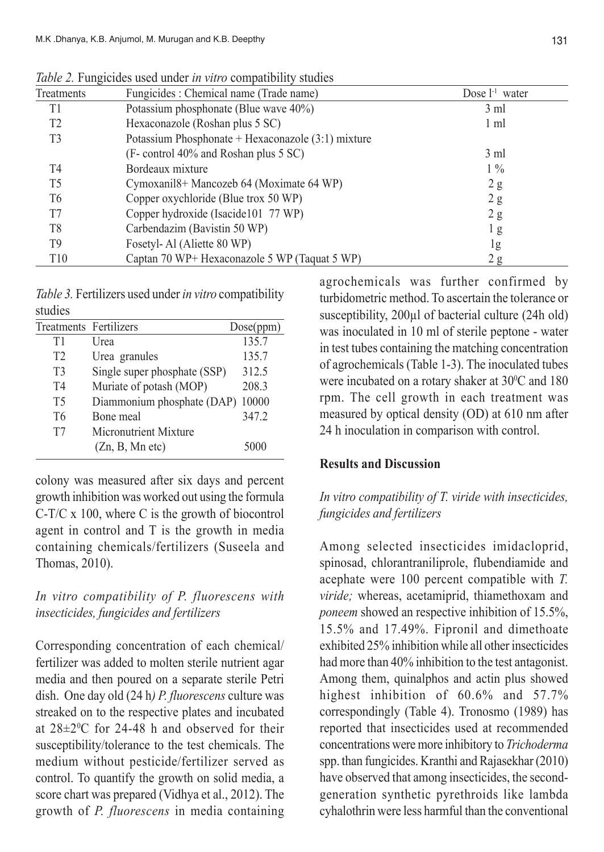| Treatments     | Fungicides : Chemical name (Trade name)<br>Dose $l^1$ water |                |  |  |
|----------------|-------------------------------------------------------------|----------------|--|--|
| T1             | Potassium phosphonate (Blue wave 40%)                       | $3 \text{ ml}$ |  |  |
| T2             | Hexaconazole (Roshan plus 5 SC)                             | 1 ml           |  |  |
| T3             | Potassium Phosphonate + Hexaconazole (3:1) mixture          |                |  |  |
|                | (F- control 40% and Roshan plus 5 SC)                       | $3 \text{ ml}$ |  |  |
| T4             | Bordeaux mixture                                            | $1\%$          |  |  |
| T5             | Cymoxanil8+ Mancozeb 64 (Moximate 64 WP)                    | 2g             |  |  |
| T <sub>6</sub> | Copper oxychloride (Blue trox 50 WP)                        | 2g             |  |  |
| T7             | Copper hydroxide (Isacide101 77 WP)                         | 2g             |  |  |
| T <sub>8</sub> | Carbendazim (Bavistin 50 WP)                                | l g            |  |  |
| T <sub>9</sub> | Fosetyl-Al (Aliette 80 WP)                                  | 1g             |  |  |
| T10            | Captan 70 WP+ Hexaconazole 5 WP (Taquat 5 WP)               | 2 g            |  |  |

*Table 2.* Fungicides used under *in vitro* compatibility studies

*Table 3.* Fertilizers used under *in vitro* compatibility studies

| Treatments Fertilizers |                              | Dose(ppm) |
|------------------------|------------------------------|-----------|
| Τ1                     | Urea                         | 135.7     |
| T2                     | Urea granules                | 135.7     |
| T3                     | Single super phosphate (SSP) | 312.5     |
| T <sub>4</sub>         | Muriate of potash (MOP)      | 208.3     |
| T5                     | Diammonium phosphate (DAP)   | 10000     |
| T <sub>6</sub>         | Bone meal                    | 347.2     |
| T7                     | Micronutrient Mixture        |           |
|                        | (Zn, B, Mn etc)              | 5000      |

colony was measured after six days and percent growth inhibition was worked out using the formula C-T/C x 100, where C is the growth of biocontrol agent in control and T is the growth in media containing chemicals/fertilizers (Suseela and Thomas, 2010).

## *In vitro compatibility of P. fluorescens with insecticides, fungicides and fertilizers*

Corresponding concentration of each chemical/ fertilizer was added to molten sterile nutrient agar media and then poured on a separate sterile Petri dish. One day old (24 h*) P. fluorescens* culture was streaked on to the respective plates and incubated at  $28 \pm 2^0$ C for 24-48 h and observed for their susceptibility/tolerance to the test chemicals. The medium without pesticide/fertilizer served as control. To quantify the growth on solid media, a score chart was prepared (Vidhya et al., 2012). The growth of *P. fluorescens* in media containing

agrochemicals was further confirmed by turbidometric method. To ascertain the tolerance or susceptibility, 200 $\mu$ l of bacterial culture (24h old) was inoculated in 10 ml of sterile peptone - water in test tubes containing the matching concentration of agrochemicals (Table 1-3). The inoculated tubes were incubated on a rotary shaker at  $30^{\circ}$ C and 180 rpm. The cell growth in each treatment was measured by optical density (OD) at 610 nm after 24 h inoculation in comparison with control.

#### **Results and Discussion**

# *In vitro compatibility of T. viride with insecticides, fungicides and fertilizers*

Among selected insecticides imidacloprid, spinosad, chlorantraniliprole, flubendiamide and acephate were 100 percent compatible with *T. viride;* whereas, acetamiprid, thiamethoxam and *poneem* showed an respective inhibition of 15.5%, 15.5% and 17.49%. Fipronil and dimethoate exhibited 25% inhibition while all other insecticides had more than 40% inhibition to the test antagonist. Among them, quinalphos and actin plus showed highest inhibition of 60.6% and 57.7% correspondingly (Table 4). Tronosmo (1989) has reported that insecticides used at recommended concentrations were more inhibitory to *Trichoderma* spp. than fungicides. Kranthi and Rajasekhar (2010) have observed that among insecticides, the secondgeneration synthetic pyrethroids like lambda cyhalothrin were less harmful than the conventional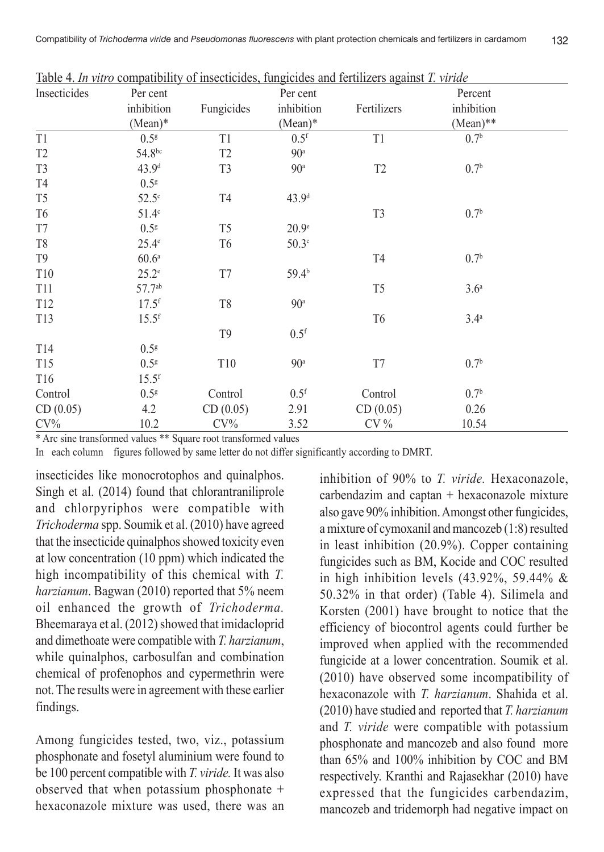|                 |                     |                |                    | Table 4. In vitro compatibility of insecticides, fungicides and fertilizers against T. viride |                  |  |
|-----------------|---------------------|----------------|--------------------|-----------------------------------------------------------------------------------------------|------------------|--|
| Insecticides    | Per cent            |                | Per cent           |                                                                                               | Percent          |  |
|                 | inhibition          | Fungicides     | inhibition         | Fertilizers                                                                                   | inhibition       |  |
|                 | $(Mean)*$           |                | $(Mean)*$          |                                                                                               | $(Mean)**$       |  |
| T1              | 0.5 <sup>g</sup>    | T1             | $0.5$ <sup>f</sup> | T1                                                                                            | 0.7 <sup>b</sup> |  |
| T <sub>2</sub>  | 54.8bc              | T <sub>2</sub> | 90 <sup>a</sup>    |                                                                                               |                  |  |
| T <sub>3</sub>  | 43.9 <sup>d</sup>   | T <sub>3</sub> | 90 <sup>a</sup>    | T <sub>2</sub>                                                                                | 0.7 <sup>b</sup> |  |
| T <sub>4</sub>  | 0.5 <sup>g</sup>    |                |                    |                                                                                               |                  |  |
| T <sub>5</sub>  | $52.5^\circ$        | T <sub>4</sub> | 43.9 <sup>d</sup>  |                                                                                               |                  |  |
| T <sub>6</sub>  | 51.4 <sup>c</sup>   |                |                    | T <sub>3</sub>                                                                                | 0.7 <sup>b</sup> |  |
| T7              | 0.5 <sup>g</sup>    | T <sub>5</sub> | 20.9 <sup>e</sup>  |                                                                                               |                  |  |
| T8              | $25.4^\mathrm{e}$   | T <sub>6</sub> | 50.3 <sup>c</sup>  |                                                                                               |                  |  |
| T <sub>9</sub>  | 60.6 <sup>a</sup>   |                |                    | T <sub>4</sub>                                                                                | 0.7 <sup>b</sup> |  |
| T10             | $25.2^e$            | T7             | 59.4 <sup>b</sup>  |                                                                                               |                  |  |
| <b>T11</b>      | 57.7ab              |                |                    | T <sub>5</sub>                                                                                | 3.6 <sup>a</sup> |  |
| T <sub>12</sub> | $17.5$ <sup>f</sup> | T8             | 90 <sup>a</sup>    |                                                                                               |                  |  |
| T13             | $15.5^{\rm f}$      |                |                    | T <sub>6</sub>                                                                                | 3.4 <sup>a</sup> |  |
|                 |                     | T <sub>9</sub> | $0.5$ <sup>f</sup> |                                                                                               |                  |  |
| T14             | 0.5 <sup>g</sup>    |                |                    |                                                                                               |                  |  |
| T15             | 0.5 <sup>g</sup>    | T10            | 90 <sup>a</sup>    | T7                                                                                            | 0.7 <sup>b</sup> |  |
| T16             | $15.5^{\rm f}$      |                |                    |                                                                                               |                  |  |
| Control         | 0.5 <sup>g</sup>    | Control        | 0.5 <sup>f</sup>   | Control                                                                                       | 0.7 <sup>b</sup> |  |
| CD(0.05)        | 4.2                 | CD(0.05)       | 2.91               | CD(0.05)                                                                                      | 0.26             |  |
| $CV\%$          | 10.2                | $CV\%$         | 3.52               | $CV\%$                                                                                        | 10.54            |  |

\* Arc sine transformed values \*\* Square root transformed values

In each column figures followed by same letter do not differ significantly according to DMRT.

insecticides like monocrotophos and quinalphos. Singh et al. (2014) found that chlorantraniliprole and chlorpyriphos were compatible with *Trichoderma* spp. Soumik et al. (2010) have agreed that the insecticide quinalphos showed toxicity even at low concentration (10 ppm) which indicated the high incompatibility of this chemical with *T. harzianum*. Bagwan (2010) reported that 5% neem oil enhanced the growth of *Trichoderma.* Bheemaraya et al. (2012) showed that imidacloprid and dimethoate were compatible with *T. harzianum*, while quinalphos, carbosulfan and combination chemical of profenophos and cypermethrin were not. The results were in agreement with these earlier findings.

Among fungicides tested, two, viz., potassium phosphonate and fosetyl aluminium were found to be 100 percent compatible with *T. viride.* It was also observed that when potassium phosphonate + hexaconazole mixture was used, there was an

inhibition of 90% to *T. viride.* Hexaconazole, carbendazim and captan + hexaconazole mixture also gave 90% inhibition. Amongst other fungicides, a mixture of cymoxanil and mancozeb (1:8) resulted in least inhibition (20.9%). Copper containing fungicides such as BM, Kocide and COC resulted in high inhibition levels  $(43.92\%$ , 59.44% & 50.32% in that order) (Table 4). Silimela and Korsten (2001) have brought to notice that the efficiency of biocontrol agents could further be improved when applied with the recommended fungicide at a lower concentration. Soumik et al. (2010) have observed some incompatibility of hexaconazole with *T. harzianum*. Shahida et al. (2010) have studied and reported that *T. harzianum* and *T. viride* were compatible with potassium phosphonate and mancozeb and also found more than 65% and 100% inhibition by COC and BM respectively. Kranthi and Rajasekhar (2010) have expressed that the fungicides carbendazim, mancozeb and tridemorph had negative impact on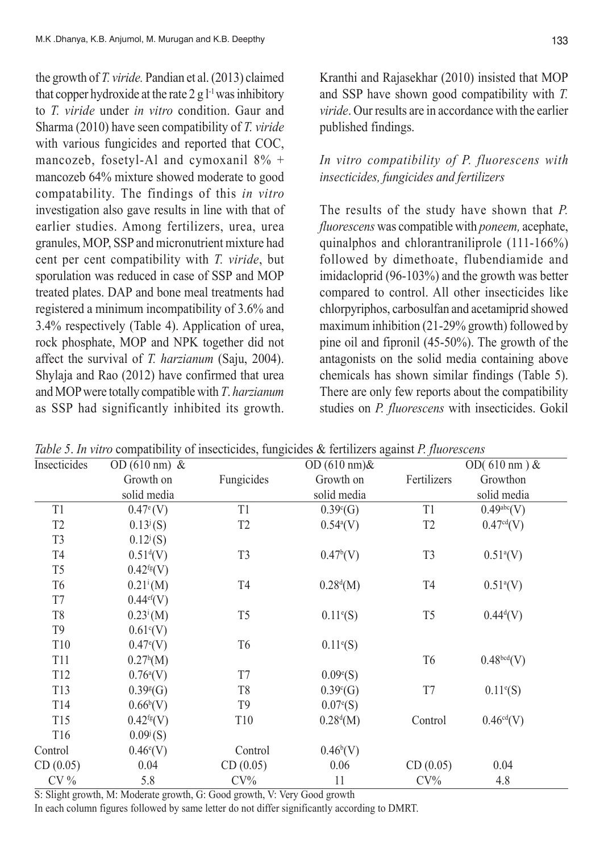the growth of *T. viride.* Pandian et al. (2013) claimed that copper hydroxide at the rate  $2 \text{ g} l^{-1}$  was inhibitory to *T. viride* under *in vitro* condition. Gaur and Sharma (2010) have seen compatibility of *T. viride* with various fungicides and reported that COC, mancozeb, fosetyl-Al and cymoxanil 8% + mancozeb 64% mixture showed moderate to good compatability. The findings of this *in vitro* investigation also gave results in line with that of earlier studies. Among fertilizers, urea, urea granules, MOP, SSP and micronutrient mixture had cent per cent compatibility with *T. viride*, but sporulation was reduced in case of SSP and MOP treated plates. DAP and bone meal treatments had registered a minimum incompatibility of 3.6% and 3.4% respectively (Table 4). Application of urea, rock phosphate, MOP and NPK together did not affect the survival of *T. harzianum* (Saju, 2004). Shylaja and Rao (2012) have confirmed that urea and MOP were totally compatible with *T*. *harzianum* as SSP had significantly inhibited its growth.

Kranthi and Rajasekhar (2010) insisted that MOP and SSP have shown good compatibility with *T. viride*. Our results are in accordance with the earlier published findings.

## *In vitro compatibility of P. fluorescens with insecticides, fungicides and fertilizers*

The results of the study have shown that *P. fluorescens* was compatible with *poneem,* acephate, quinalphos and chlorantraniliprole (111-166%) followed by dimethoate, flubendiamide and imidacloprid (96-103%) and the growth was better compared to control. All other insecticides like chlorpyriphos, carbosulfan and acetamiprid showed maximum inhibition (21-29% growth) followed by pine oil and fipronil (45-50%). The growth of the antagonists on the solid media containing above chemicals has shown similar findings (Table 5). There are only few reports about the compatibility studies on *P. fluorescens* with insecticides. Gokil

| Insecticides    | OD $(610 \text{ nm})$ &  |                 | OD $(610 \text{ nm})\&$ |                | OD( $610 \text{ nm}$ ) & |
|-----------------|--------------------------|-----------------|-------------------------|----------------|--------------------------|
|                 | Growth on                | Fungicides      | Growth on               | Fertilizers    | Growthon                 |
|                 | solid media              |                 | solid media             |                | solid media              |
| T1              | $0.47^{\circ}$ (V)       | T1              | $0.39^{\circ}$ (G)      | T1             | 0.49abc(V)               |
| T <sub>2</sub>  | $0.13^{j}(S)$            | T <sub>2</sub>  | $0.54^{\circ}$ (V)      | T <sub>2</sub> | 0.47 <sup>cd</sup> (V)   |
| T <sub>3</sub>  | $0.12^{j}(S)$            |                 |                         |                |                          |
| T4              | $0.51^{d}(V)$            | T <sub>3</sub>  | $0.47^b(V)$             | T <sub>3</sub> | $0.51^{a}(V)$            |
| T <sub>5</sub>  | $0.42^{fg}(V)$           |                 |                         |                |                          |
| T <sub>6</sub>  | $0.21^i(M)$              | T <sub>4</sub>  | $0.28^{d}(M)$           | T4             | $0.51^{a}(V)$            |
| T7              | $0.44$ <sup>ef</sup> (V) |                 |                         |                |                          |
| T <sub>8</sub>  | $0.23^{\rm i}$ (M)       | T <sub>5</sub>  | $0.11^{\circ}$ (S)      | T <sub>5</sub> | $0.44^{d}(V)$            |
| T9              | $0.61^{\circ}$ (V)       |                 |                         |                |                          |
| T10             | $0.47^{\circ}$ (V)       | T <sub>6</sub>  | $0.11^{\circ}$ (S)      |                |                          |
| T11             | $0.27^h(M)$              |                 |                         | T6             | 0.48 <sup>bcd</sup> (V)  |
| T <sub>12</sub> | $0.76^{a}(V)$            | T7              | $0.09\text{°(S)}$       |                |                          |
| T <sub>13</sub> | $0.39*(G)$               | T <sub>8</sub>  | $0.39^{\circ}$ (G)      | T7             | $0.11^{\circ}$ (S)       |
| T <sub>14</sub> | $0.66^{\rm b}$ (V)       | T <sub>9</sub>  | $0.07^{\circ}$ (S)      |                |                          |
| T <sub>15</sub> | $0.42^{fg}(V)$           | T <sub>10</sub> | $0.28^{d}(M)$           | Control        | $0.46^{cd}(V)$           |
| T <sub>16</sub> | $0.09^{\rm j}$ (S)       |                 |                         |                |                          |
| Control         | $0.46^{\circ}$ (V)       | Control         | $0.46^b(V)$             |                |                          |
| CD(0.05)        | 0.04                     | CD(0.05)        | 0.06                    | CD(0.05)       | 0.04                     |
| $CV\%$          | 5.8                      | $CV\%$          | 11                      | $CV\%$         | 4.8                      |

*Table 5*. *In vitro* compatibility of insecticides, fungicides & fertilizers against *P. fluorescens*

S: Slight growth, M: Moderate growth, G: Good growth, V: Very Good growth In each column figures followed by same letter do not differ significantly according to DMRT.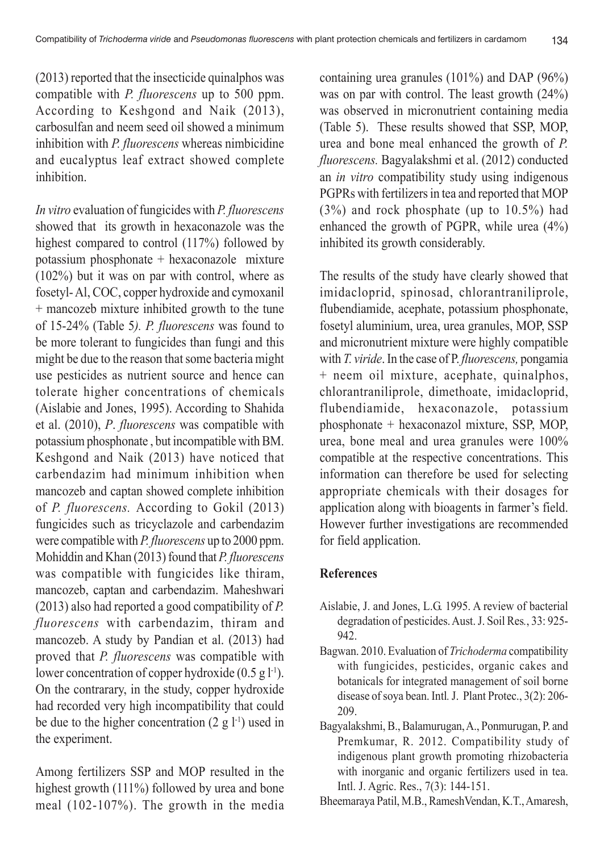(2013) reported that the insecticide quinalphos was compatible with *P. fluorescens* up to 500 ppm. According to Keshgond and Naik (2013), carbosulfan and neem seed oil showed a minimum inhibition with *P. fluorescens* whereas nimbicidine and eucalyptus leaf extract showed complete inhibition.

*In vitro* evaluation of fungicides with *P. fluorescens* showed that its growth in hexaconazole was the highest compared to control (117%) followed by potassium phosphonate + hexaconazole mixture (102%) but it was on par with control, where as fosetyl- Al, COC, copper hydroxide and cymoxanil + mancozeb mixture inhibited growth to the tune of 15-24% (Table 5*). P. fluorescens* was found to be more tolerant to fungicides than fungi and this might be due to the reason that some bacteria might use pesticides as nutrient source and hence can tolerate higher concentrations of chemicals (Aislabie and Jones, 1995). According to Shahida et al. (2010), *P*. *fluorescens* was compatible with potassium phosphonate , but incompatible with BM. Keshgond and Naik (2013) have noticed that carbendazim had minimum inhibition when mancozeb and captan showed complete inhibition of *P. fluorescens.* According to Gokil (2013) fungicides such as tricyclazole and carbendazim were compatible with *P. fluorescens* up to 2000 ppm. Mohiddin and Khan (2013) found that *P. fluorescens* was compatible with fungicides like thiram, mancozeb, captan and carbendazim. Maheshwari (2013) also had reported a good compatibility of *P. fluorescens* with carbendazim, thiram and mancozeb. A study by Pandian et al. (2013) had proved that *P. fluorescens* was compatible with lower concentration of copper hydroxide  $(0.5 \text{ g l}^{-1})$ . On the contrarary, in the study, copper hydroxide had recorded very high incompatibility that could be due to the higher concentration  $(2 \text{ g } l^{-1})$  used in the experiment.

Among fertilizers SSP and MOP resulted in the highest growth (111%) followed by urea and bone meal (102-107%). The growth in the media

containing urea granules (101%) and DAP (96%) was on par with control. The least growth (24%) was observed in micronutrient containing media (Table 5). These results showed that SSP, MOP, urea and bone meal enhanced the growth of *P. fluorescens.* Bagyalakshmi et al. (2012) conducted an *in vitro* compatibility study using indigenous PGPRs with fertilizers in tea and reported that MOP (3%) and rock phosphate (up to 10.5%) had enhanced the growth of PGPR, while urea (4%) inhibited its growth considerably.

The results of the study have clearly showed that imidacloprid, spinosad, chlorantraniliprole, flubendiamide, acephate, potassium phosphonate, fosetyl aluminium, urea, urea granules, MOP, SSP and micronutrient mixture were highly compatible with *T. viride*. In the case of P. *fluorescens,* pongamia + neem oil mixture, acephate, quinalphos, chlorantraniliprole, dimethoate, imidacloprid, flubendiamide, hexaconazole, potassium phosphonate + hexaconazol mixture, SSP, MOP, urea, bone meal and urea granules were 100% compatible at the respective concentrations. This information can therefore be used for selecting appropriate chemicals with their dosages for application along with bioagents in farmer's field. However further investigations are recommended for field application.

### **References**

- Aislabie, J. and Jones, L.G. 1995. A review of bacterial degradation of pesticides. Aust. J. Soil Res*.*, 33: 925- 942.
- Bagwan. 2010. Evaluation of *Trichoderma* compatibility with fungicides, pesticides, organic cakes and botanicals for integrated management of soil borne disease of soya bean. Intl*.* J. Plant Protec., 3(2): 206- 209.
- Bagyalakshmi, B., Balamurugan, A., Ponmurugan, P. and Premkumar, R. 2012. Compatibility study of indigenous plant growth promoting rhizobacteria with inorganic and organic fertilizers used in tea. Intl. J. Agric. Res., 7(3): 144-151.
- Bheemaraya Patil, M.B., RameshVendan, K.T., Amaresh,